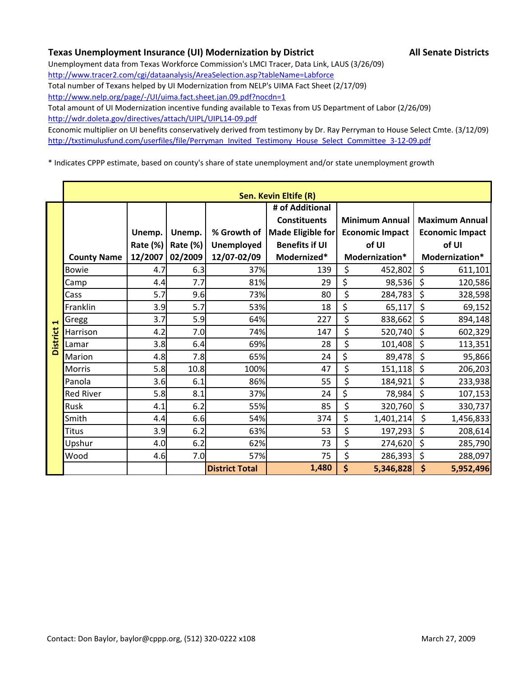## **Texas Unemployment Insurance (UI) Modernization by District All Senate Districts**

Unemployment data from Texas Workforce Commission's LMCI Tracer, Data Link, LAUS (3/26/09) http://www.tracer2.com/cgi/dataanalysis/AreaSelection.asp?tableName=Labforce Total number of Texans helped by UI Modernization from NELP's UIMA Fact Sheet (2/17/09) http://www.nelp.org/page/-/UI/uima.fact.sheet.jan.09.pdf?nocdn=1

Total amount of UI Modernization incentive funding available to Texas from US Department of Labor (2/26/09) http://wdr.doleta.gov/directives/attach/UIPL/UIPL14‐09.pdf

Economic multiplier on UI benefits conservatively derived from testimony by Dr. Ray Perryman to House Select Cmte. (3/12/09) http://txstimulusfund.com/userfiles/file/Perryman\_Invited\_Testimony\_House\_Select\_Committee\_3-12-09.pdf

\* Indicates CPPP estimate, based on county's share of state unemployment and/or state unemployment growth

|                 |                    |                 |          |                       | Sen. Kevin Eltife (R) |                        |                        |
|-----------------|--------------------|-----------------|----------|-----------------------|-----------------------|------------------------|------------------------|
|                 |                    |                 |          |                       | # of Additional       |                        |                        |
|                 |                    |                 |          |                       | <b>Constituents</b>   | <b>Minimum Annual</b>  | <b>Maximum Annual</b>  |
|                 |                    | Unemp.          | Unemp.   | % Growth of           | Made Eligible for     | <b>Economic Impact</b> | <b>Economic Impact</b> |
|                 |                    | <b>Rate (%)</b> | Rate (%) | <b>Unemployed</b>     | <b>Benefits if UI</b> | of UI                  | of UI                  |
|                 | <b>County Name</b> | 12/2007         | 02/2009  | 12/07-02/09           | Modernized*           | Modernization*         | Modernization*         |
|                 | Bowie              | 4.7             | 6.3      | 37%                   | 139                   | \$<br>452,802          | \$<br>611,101          |
|                 | Camp               | 4.4             | 7.7      | 81%                   | 29                    | \$<br>98,536           | \$<br>120,586          |
|                 | Cass               | 5.7             | 9.6      | 73%                   | 80                    | \$<br>284,783          | \$<br>328,598          |
|                 | Franklin           | 3.9             | 5.7      | 53%                   | 18                    | \$<br>65,117           | \$<br>69,152           |
| ᆸ               | Gregg              | 3.7             | 5.9      | 64%                   | 227                   | \$<br>838,662          | \$<br>894,148          |
|                 | Harrison           | 4.2             | 7.0      | 74%                   | 147                   | \$<br>520,740          | \$<br>602,329          |
| <b>District</b> | Lamar              | 3.8             | 6.4      | 69%                   | 28                    | \$<br>101,408          | \$<br>113,351          |
|                 | Marion             | 4.8             | 7.8      | 65%                   | 24                    | \$<br>89,478           | \$<br>95,866           |
|                 | <b>Morris</b>      | 5.8             | 10.8     | 100%                  | 47                    | \$<br>151,118          | \$<br>206,203          |
|                 | Panola             | 3.6             | 6.1      | 86%                   | 55                    | \$<br>184,921          | \$<br>233,938          |
|                 | <b>Red River</b>   | 5.8             | 8.1      | 37%                   | 24                    | \$<br>78,984           | \$<br>107,153          |
|                 | Rusk               | 4.1             | 6.2      | 55%                   | 85                    | \$<br>320,760          | \$<br>330,737          |
|                 | Smith              | 4.4             | 6.6      | 54%                   | 374                   | \$<br>1,401,214        | \$<br>1,456,833        |
|                 | <b>Titus</b>       | 3.9             | 6.2      | 63%                   | 53                    | \$<br>197,293          | \$<br>208,614          |
|                 | Upshur             | 4.0             | 6.2      | 62%                   | 73                    | \$<br>274,620          | \$<br>285,790          |
|                 | Wood               | 4.6             | 7.0      | 57%                   | 75                    | \$<br>286,393          | \$<br>288,097          |
|                 |                    |                 |          | <b>District Total</b> | 1,480                 | \$<br>5,346,828        | \$<br>5,952,496        |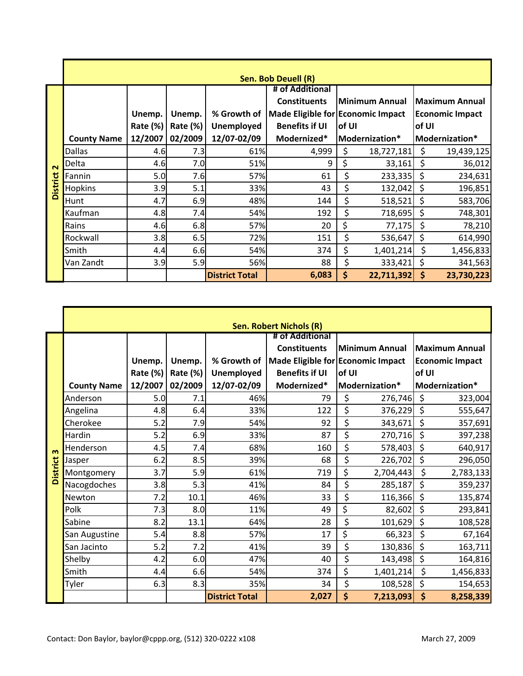|                 |                    |                 |          |                       | Sen. Bob Deuell (R)               |                  |                    |                        |
|-----------------|--------------------|-----------------|----------|-----------------------|-----------------------------------|------------------|--------------------|------------------------|
|                 |                    |                 |          |                       | # of Additional                   |                  |                    |                        |
|                 |                    |                 |          |                       | <b>Constituents</b>               | Minimum Annual   |                    | <b>Maximum Annual</b>  |
|                 |                    | Unemp.          | Unemp.   | % Growth of           | Made Eligible for Economic Impact |                  |                    | <b>Economic Impact</b> |
|                 |                    | <b>Rate (%)</b> | Rate (%) | Unemployed            | <b>Benefits if UI</b>             | of UI            |                    | of UI                  |
|                 | <b>County Name</b> | 12/2007         | 02/2009  | 12/07-02/09           | Modernized*                       | Modernization*   |                    | Modernization*         |
|                 | <b>Dallas</b>      | 4.6             | 7.3      | 61%                   | 4,999                             | \$<br>18,727,181 | \$                 | 19,439,125             |
| $\sim$          | Delta              | 4.6             | 7.0      | 51%                   | 9                                 | \$<br>33,161     | Ś                  | 36,012                 |
|                 | Fannin             | 5.0             | 7.6      | 57%                   | 61                                | \$<br>233,335    | \$                 | 234,631                |
| <b>District</b> | <b>Hopkins</b>     | 3.9             | 5.1      | 33%                   | 43                                | \$<br>132,042    | \$                 | 196,851                |
|                 | Hunt               | 4.7             | 6.9      | 48%                   | 144                               | \$<br>518,521    | \$                 | 583,706                |
|                 | Kaufman            | 4.8             | 7.4      | 54%                   | 192                               | \$<br>718,695    | \$                 | 748,301                |
|                 | Rains              | 4.6             | 6.8      | 57%                   | 20                                | \$<br>77,175     | \$                 | 78,210                 |
|                 | Rockwall           | 3.8             | 6.5      | 72%                   | 151                               | \$<br>536,647    | \$                 | 614,990                |
|                 | Smith              | 4.4             | 6.6      | 54%                   | 374                               | \$<br>1,401,214  | \$                 | 1,456,833              |
|                 | Van Zandt          | 3.9             | 5.9      | 56%                   | 88                                | \$<br>333,421    | \$                 | 341,563                |
|                 |                    |                 |          | <b>District Total</b> | 6,083                             | \$<br>22,711,392 | $\dot{\mathsf{s}}$ | 23,730,223             |

|                 |                    |                 |                 |                       | <b>Sen. Robert Nichols (R)</b>         |                                                 |                        |
|-----------------|--------------------|-----------------|-----------------|-----------------------|----------------------------------------|-------------------------------------------------|------------------------|
|                 |                    |                 |                 |                       | # of Additional<br><b>Constituents</b> | <b>Minimum Annual</b>                           | <b>Maximum Annual</b>  |
|                 |                    | Unemp.          | Unemp.          |                       |                                        | % Growth of   Made Eligible for Economic Impact | <b>Economic Impact</b> |
|                 |                    | <b>Rate (%)</b> | <b>Rate (%)</b> | <b>Unemployed</b>     | <b>Benefits if UI</b>                  | of UI                                           | of UI                  |
|                 | <b>County Name</b> | 12/2007         | 02/2009         | 12/07-02/09           | Modernized*                            | Modernization*                                  | Modernization*         |
|                 | Anderson           | 5.0             | 7.1             | 46%                   | 79                                     | \$<br>276,746                                   | \$<br>323,004          |
|                 | Angelina           | 4.8             | 6.4             | 33%                   | 122                                    | \$<br>376,229                                   | $\zeta$<br>555,647     |
|                 | Cherokee           | 5.2             | 7.9             | 54%                   | 92                                     | \$<br>343,671                                   | $\zeta$<br>357,691     |
|                 | Hardin             | 5.2             | 6.9             | 33%                   | 87                                     | \$<br>270,716                                   | \$<br>397,238          |
| m               | Henderson          | 4.5             | 7.4             | 68%                   | 160                                    | \$<br>578,403                                   | \$<br>640,917          |
|                 | Jasper             | 6.2             | 8.5             | 39%                   | 68                                     | \$<br>226,702                                   | \$<br>296,050          |
| <b>District</b> | Montgomery         | 3.7             | 5.9             | 61%                   | 719                                    | \$<br>2,704,443                                 | \$<br>2,783,133        |
|                 | Nacogdoches        | 3.8             | 5.3             | 41%                   | 84                                     | \$<br>285,187                                   | \$<br>359,237          |
|                 | Newton             | 7.2             | 10.1            | 46%                   | 33                                     | \$<br>116,366                                   | $\zeta$<br>135,874     |
|                 | Polk               | 7.3             | 8.0             | 11%                   | 49                                     | \$<br>82,602                                    | $\zeta$<br>293,841     |
|                 | Sabine             | 8.2             | 13.1            | 64%                   | 28                                     | \$<br>101,629                                   | \$<br>108,528          |
|                 | San Augustine      | 5.4             | 8.8             | 57%                   | 17                                     | \$<br>66,323                                    | \$<br>67,164           |
|                 | San Jacinto        | 5.2             | 7.2             | 41%                   | 39                                     | \$<br>130,836                                   | \$<br>163,711          |
|                 | Shelby             | 4.2             | 6.0             | 47%                   | 40                                     | \$<br>143,498                                   | \$<br>164,816          |
|                 | Smith              | 4.4             | 6.6             | 54%                   | 374                                    | \$<br>1,401,214                                 | \$<br>1,456,833        |
|                 | Tyler              | 6.3             | 8.3             | 35%                   | 34                                     | \$<br>108,528                                   | \$<br>154,653          |
|                 |                    |                 |                 | <b>District Total</b> | 2,027                                  | \$<br>7,213,093                                 | \$<br>8,258,339        |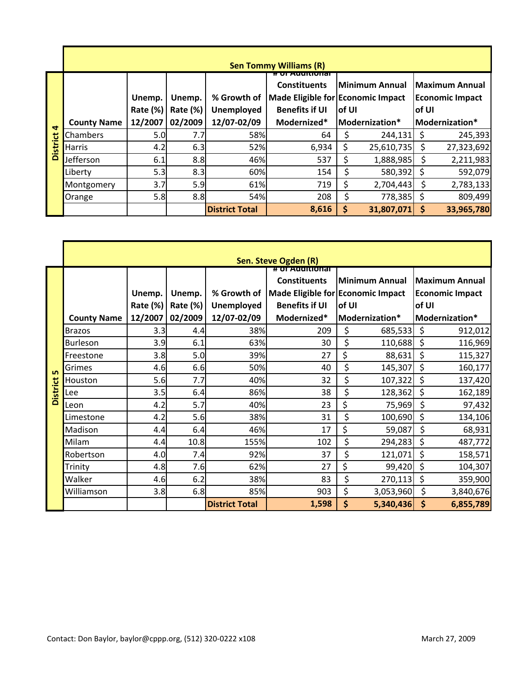|        |                    |                               |                               |                                                 | <b>Sen Tommy Williams (R)</b>                                                                    |        |                                                |        |                                                                   |
|--------|--------------------|-------------------------------|-------------------------------|-------------------------------------------------|--------------------------------------------------------------------------------------------------|--------|------------------------------------------------|--------|-------------------------------------------------------------------|
|        | <b>County Name</b> | Unemp.<br>Rate (%)<br>12/2007 | Unemp.<br>Rate (%)<br>02/2009 | % Growth of<br><b>Unemployed</b><br>12/07-02/09 | <b>Constituents</b><br>Made Eligible for Economic Impact<br><b>Benefits if UI</b><br>Modernized* | lof UI | <b>Minimum Annual</b><br><b>Modernization*</b> | lof UI | <b>Maximum Annual</b><br><b>Economic Impact</b><br>Modernization* |
| d<br>ಕ | Chambers           | 5.0                           | 7.7                           | 58%                                             | 64                                                                                               |        | 244,131                                        | Ś      | 245,393                                                           |
| Distri | <b>Harris</b>      | 4.2                           | 6.3                           | 52%                                             | 6,934                                                                                            | \$     | 25,610,735                                     | Ś      | 27,323,692                                                        |
|        | Jefferson          | 6.1                           | 8.8                           | 46%                                             | 537                                                                                              | Ş      | 1,888,985                                      | S      | 2,211,983                                                         |
|        | Liberty            | 5.3                           | 8.3                           | 60%                                             | 154                                                                                              |        | 580,392                                        |        | 592,079                                                           |
|        | Montgomery         | 3.7                           | 5.9                           | 61%                                             | 719                                                                                              | \$     | 2,704,443                                      | S      | 2,783,133                                                         |
|        | Orange             | 5.8                           | 8.8                           | 54%                                             | 208                                                                                              | \$     | 778,385                                        | \$     | 809,499                                                           |
|        |                    |                               |                               | <b>District Total</b>                           | 8,616                                                                                            | \$     | 31,807,071                                     | S      | 33,965,780                                                        |

|                 |                    |          |          |                       | Sen. Steve Ogden (R)                 |       |                |       |                        |
|-----------------|--------------------|----------|----------|-----------------------|--------------------------------------|-------|----------------|-------|------------------------|
|                 |                    |          |          |                       | or Additional<br><b>Constituents</b> |       | Minimum Annual |       | <b>Maximum Annual</b>  |
|                 |                    | Unemp.   | Unemp.   | % Growth of           | Made Eligible for Economic Impact    |       |                |       | <b>Economic Impact</b> |
|                 |                    | Rate (%) | Rate (%) | <b>Unemployed</b>     | <b>Benefits if UI</b>                | of UI |                | of UI |                        |
|                 | <b>County Name</b> | 12/2007  | 02/2009  | 12/07-02/09           | Modernized*                          |       | Modernization* |       | Modernization*         |
|                 | <b>Brazos</b>      | 3.3      | 4.4      | 38%                   | 209                                  | \$    | 685,533        | \$    | 912,012                |
|                 | Burleson           | 3.9      | 6.1      | 63%                   | 30                                   | \$    | 110,688        | \$    | 116,969                |
|                 | Freestone          | 3.8      | 5.0      | 39%                   | 27                                   | \$    | 88,631         | \$    | 115,327                |
| <b>LO</b>       | Grimes             | 4.6      | 6.6      | 50%                   | 40                                   | \$    | 145,307        | \$    | 160,177                |
|                 | Houston            | 5.6      | 7.7      | 40%                   | 32                                   | \$    | 107,322        | \$    | 137,420                |
| <b>District</b> | Lee                | 3.5      | 6.4      | 86%                   | 38                                   | \$    | 128,362        | \$    | 162,189                |
|                 | Leon               | 4.2      | 5.7      | 40%                   | 23                                   | \$    | 75,969         | \$    | 97,432                 |
|                 | Limestone          | 4.2      | 5.6      | 38%                   | 31                                   | \$    | 100,690        | \$    | 134,106                |
|                 | Madison            | 4.4      | 6.4      | 46%                   | 17                                   | \$    | 59,087         | \$    | 68,931                 |
|                 | Milam              | 4.4      | 10.8     | 155%                  | 102                                  | \$    | 294,283        | \$    | 487,772                |
|                 | Robertson          | 4.0      | 7.4      | 92%                   | 37                                   | \$    | 121,071        | \$    | 158,571                |
|                 | Trinity            | 4.8      | 7.6      | 62%                   | 27                                   | \$    | 99,420         | \$    | 104,307                |
|                 | Walker             | 4.6      | 6.2      | 38%                   | 83                                   | \$    | 270,113        | \$    | 359,900                |
|                 | Williamson         | 3.8      | 6.8      | 85%                   | 903                                  | \$    | 3,053,960      | \$    | 3,840,676              |
|                 |                    |          |          | <b>District Total</b> | 1,598                                | \$    | 5,340,436      | \$    | 6,855,789              |

r

۷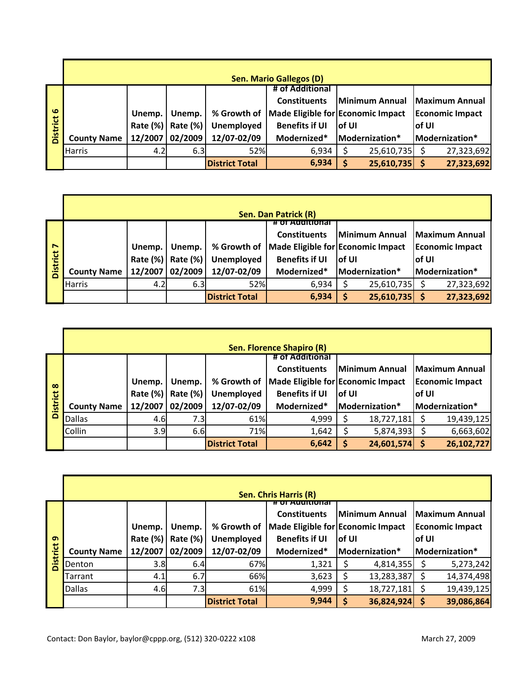|                 |                    | <b>Sen. Mario Gallegos (D)</b> |          |                       |                                                 |        |                               |        |                        |  |  |  |  |
|-----------------|--------------------|--------------------------------|----------|-----------------------|-------------------------------------------------|--------|-------------------------------|--------|------------------------|--|--|--|--|
|                 |                    |                                |          |                       | # of Additional                                 |        |                               |        |                        |  |  |  |  |
|                 |                    |                                |          |                       | <b>Constituents</b>                             |        | Minimum Annual Maximum Annual |        |                        |  |  |  |  |
| $\omega$        |                    | Unemp.                         | Unemp.   |                       | % Growth of   Made Eligible for Economic Impact |        |                               |        | <b>Economic Impact</b> |  |  |  |  |
|                 |                    | Rate (%)                       | Rate (%) | Unemployed            | <b>Benefits if UI</b>                           | lof UI |                               | lof UI |                        |  |  |  |  |
| <b>District</b> | <b>County Name</b> | 12/2007                        | 02/2009  | 12/07-02/09           | Modernized*                                     |        | Modernization*                |        | Modernization*         |  |  |  |  |
|                 | <b>Harris</b>      | 4.2                            | 6.3      | 52%                   | 6,934                                           |        | 25,610,735                    |        | 27,323,692             |  |  |  |  |
|                 |                    |                                |          | <b>District Total</b> | 6,934                                           |        | 25,610,735                    |        | 27,323,692             |  |  |  |  |

| District   |                    | Rate (%)            | Rate (%)        | Unemployed            | <b>Benefits if UI</b>                | of UI                 |            | of UI              |                        |
|------------|--------------------|---------------------|-----------------|-----------------------|--------------------------------------|-----------------------|------------|--------------------|------------------------|
|            | <b>County Name</b> | 12/2007             | 02/2009         | 12/07-02/09           | Modernized*                          | Modernization*        |            |                    | Modernization*         |
|            | Harris             | 4.2                 | 6.3             | 52%                   | 6,934                                | \$                    | 25,610,735 | \$                 | 27,323,692             |
|            |                    |                     |                 | <b>District Total</b> | 6,934                                | \$                    | 25,610,735 | $\dot{\mathsf{S}}$ | 27,323,692             |
|            |                    |                     |                 |                       |                                      |                       |            |                    |                        |
|            |                    |                     |                 |                       |                                      |                       |            |                    |                        |
|            |                    |                     |                 |                       |                                      |                       |            |                    |                        |
|            |                    |                     |                 |                       | Sen. Dan Patrick (R)                 |                       |            |                    |                        |
|            |                    |                     |                 |                       | <u> : Eoi d'Aveloi III (oi 1771)</u> |                       |            |                    |                        |
|            |                    |                     |                 | % Growth of           | <b>Constituents</b>                  | <b>Minimum Annual</b> |            |                    | <b>Maximum Annual</b>  |
| District 7 |                    | Unemp.              | Unemp.          |                       | Made Eligible for Economic Impact    |                       |            |                    | <b>Economic Impact</b> |
|            |                    | Rate (%)<br>12/2007 | <b>Rate (%)</b> | Unemployed            | <b>Benefits if UI</b>                | of UI                 |            | of UI              |                        |
|            |                    |                     | 02/2009         | 12/07-02/09           | Modernized*                          | Modernization*        |            |                    | Modernization*         |
|            | <b>County Name</b> |                     |                 |                       |                                      |                       |            |                    |                        |
|            | Harris             | 4.2                 | 6.3             | 52%                   | 6,934                                | \$                    | 25,610,735 | \$                 | 27,323,692             |
|            |                    |                     |                 | <b>District Total</b> | 6,934                                | \$                    | 25,610,735 | $\mathsf{\$}$      | 27,323,692             |
|            |                    |                     |                 |                       |                                      |                       |            |                    |                        |
|            |                    |                     |                 |                       |                                      |                       |            |                    |                        |
|            |                    |                     |                 |                       |                                      |                       |            |                    |                        |
|            |                    |                     |                 |                       | <b>Sen. Florence Shapiro (R)</b>     |                       |            |                    |                        |
|            |                    |                     |                 |                       | # of Additional                      |                       |            |                    |                        |
|            |                    |                     |                 |                       | <b>Constituents</b>                  | <b>Minimum Annual</b> |            |                    | <b>Maximum Annual</b>  |
|            |                    | Unemp.              | Unemp.          | % Growth of           | Made Eligible for Economic Impact    |                       |            |                    | <b>Economic Impact</b> |
|            |                    | Rate (%)            | Rate (%)        | Unemployed            | <b>Benefits if UI</b>                | of UI                 |            | of UI              |                        |
| District 8 | <b>County Name</b> | 12/2007             | 02/2009         | 12/07-02/09           | Modernized*                          | Modernization*        |            |                    | Modernization*         |

|                 |                    |          |          |                       | Sen. Florence Shapiro (R) |                                                     |                                                 |
|-----------------|--------------------|----------|----------|-----------------------|---------------------------|-----------------------------------------------------|-------------------------------------------------|
|                 |                    |          |          |                       | # of Additional           |                                                     |                                                 |
|                 |                    | Unemp.   | Unemp.   | % Growth of           | <b>Constituents</b>       | Minimum Annual<br>Made Eligible for Economic Impact | <b>Maximum Annual</b><br><b>Economic Impact</b> |
| $\infty$        |                    | Rate (%) | Rate (%) | <b>Unemployed</b>     | <b>Benefits if UI</b>     | lof UI                                              | lof UI                                          |
| <b>District</b> | <b>County Name</b> | 12/2007  | 02/2009  | 12/07-02/09           | Modernized*               | Modernization*                                      | Modernization*                                  |
|                 | <b>Dallas</b>      | 4.6      | 7.3I     | 61%                   | 4,999                     | 18,727,181                                          | 19,439,125                                      |
|                 | Collin             | 3.9      | 6.6      | 71%                   | 1,642                     | 5,874,393                                           | 6,663,602                                       |
|                 |                    |          |          | <b>District Total</b> | 6,642                     | 24,601,574<br>\$                                    | 26,102,727                                      |

|                 |                    |                                                                      |        |                       | Sen. Chris Harris (R)                                                                                          |    |                |                                          |                |
|-----------------|--------------------|----------------------------------------------------------------------|--------|-----------------------|----------------------------------------------------------------------------------------------------------------|----|----------------|------------------------------------------|----------------|
|                 |                    | Unemp.                                                               | Unemp. | % Growth of           | <del># or Additiona</del><br><b>Minimum Annual</b><br><b>Constituents</b><br>Made Eligible for Economic Impact |    |                | Maximum Annual<br><b>Economic Impact</b> |                |
| മ               |                    | <b>Benefits if UI</b><br>Rate (%)<br>Rate (%)<br>Unemployed<br>of UI |        |                       |                                                                                                                |    | lof UI         |                                          |                |
| <b>District</b> | <b>County Name</b> | 02/2009<br>12/2007                                                   |        | 12/07-02/09           | Modernized*                                                                                                    |    | Modernization* |                                          | Modernization* |
|                 | Denton             | 3.8                                                                  | 6.4    | 67%                   | 1,321                                                                                                          |    | 4,814,355      |                                          | 5,273,242      |
|                 | Tarrant            | 4.1                                                                  | 6.7    | 66%                   | 3,623                                                                                                          |    | 13,283,387     |                                          | 14,374,498     |
|                 | <b>Dallas</b>      | 4.6                                                                  | 7.3    | 61%                   | 4,999                                                                                                          | Ş  | 18,727,181     |                                          | 19,439,125     |
|                 |                    |                                                                      |        | <b>District Total</b> | 9,944                                                                                                          | \$ | 36,824,924     |                                          | 39,086,864     |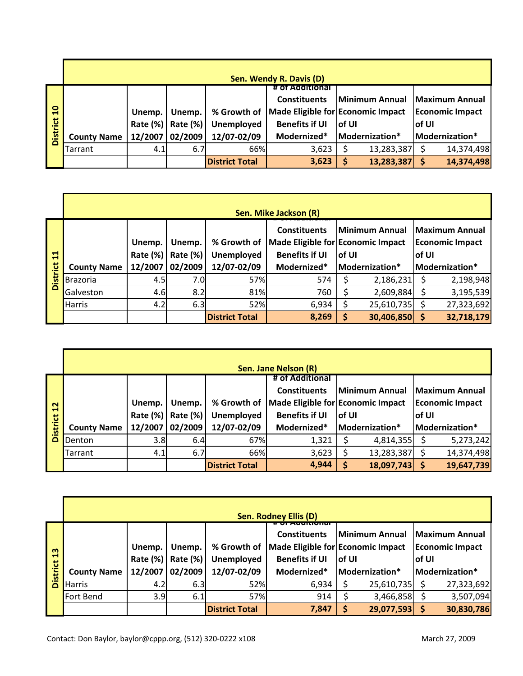|                 |                    |          |          |                       | Sen. Wendy R. Davis (D)           |        |                               |        |                        |
|-----------------|--------------------|----------|----------|-----------------------|-----------------------------------|--------|-------------------------------|--------|------------------------|
|                 |                    |          |          |                       | # of Additional                   |        |                               |        |                        |
|                 |                    |          |          |                       | <b>Constituents</b>               |        | Minimum Annual Maximum Annual |        |                        |
| $\overline{10}$ |                    | Unemp.   | Unemp.   | % Growth of           | Made Eligible for Economic Impact |        |                               |        | <b>Economic Impact</b> |
|                 |                    | Rate (%) | Rate (%) | <b>Unemployed</b>     | <b>Benefits if UI</b>             | lof UI |                               | lof UI |                        |
| <b>District</b> | <b>County Name</b> | 12/2007  | 02/2009  | 12/07-02/09           | Modernized*                       |        | Modernization*                |        | Modernization*         |
|                 | Tarrant            | 4.1      | 6.7      | 66%                   | 3,623                             |        | 13,283,387                    |        | 14,374,498             |
|                 |                    |          |          | <b>District Total</b> | 3,623                             |        | 13,283,387                    |        | 14,374,498             |

|                 |                    |                           |                    |                                  | Sen. Mike Jackson (R)                        |                                                               |                |        |                                                 |  |
|-----------------|--------------------|---------------------------|--------------------|----------------------------------|----------------------------------------------|---------------------------------------------------------------|----------------|--------|-------------------------------------------------|--|
| $\mathbf{1}$    |                    | Unemp.<br><b>Rate (%)</b> | Unemp.<br>Rate (%) | % Growth of<br><b>Unemployed</b> | <b>Constituents</b><br><b>Benefits if UI</b> | Minimum Annual<br>Made Eligible for Economic Impact<br>lof UI |                | lof UI | <b>Maximum Annual</b><br><b>Economic Impact</b> |  |
|                 | <b>County Name</b> | 12/2007                   | 02/2009            | 12/07-02/09                      | Modernized*                                  |                                                               | Modernization* |        | Modernization*                                  |  |
| <b>District</b> | <b>Brazoria</b>    | 4.5                       | 7.0                | 57%                              | 574                                          |                                                               | 2,186,231      |        | 2,198,948                                       |  |
|                 | Galveston          | 4.6                       | 8.2                | 81%                              | 760                                          |                                                               | 2,609,884      |        | 3,195,539                                       |  |
|                 | Harris             | 4.2                       | 6.3                | 52%                              | 6,934                                        | S                                                             | 25,610,735     |        | 27,323,692                                      |  |
|                 |                    |                           |                    | <b>District Total</b>            | 8,269                                        | S                                                             | 30,406,850     |        | 32,718,179                                      |  |

| 븝               |                    | Rate $(\%)$     | Rate $(\%)$      | Unemployed            | <b>Benefits if UI</b>             | of UI |                       | of UI |                        |  |  |  |
|-----------------|--------------------|-----------------|------------------|-----------------------|-----------------------------------|-------|-----------------------|-------|------------------------|--|--|--|
|                 | <b>County Name</b> | 12/2007         | 02/2009          | 12/07-02/09           | Modernized*                       |       | Modernization*        |       | Modernization*         |  |  |  |
| <b>District</b> | <b>Brazoria</b>    | 4.5             | 7.0 <sub>l</sub> | 57%                   | 574                               | Ş     | 2,186,231             | \$    | 2,198,948              |  |  |  |
|                 | Galveston          | 4.6             | 8.2              | 81%                   | 760                               | \$    | 2,609,884             | \$    | 3,195,539              |  |  |  |
|                 | Harris             | 4.2             | 6.3              | 52%                   | 6,934                             | \$    | 25,610,735            | \$    | 27,323,692             |  |  |  |
|                 |                    |                 |                  | <b>District Total</b> | 8,269                             | \$    | 30,406,850            | \$    | 32,718,179             |  |  |  |
|                 |                    |                 |                  |                       |                                   |       |                       |       |                        |  |  |  |
|                 |                    |                 |                  |                       |                                   |       |                       |       |                        |  |  |  |
|                 |                    |                 |                  |                       |                                   |       |                       |       |                        |  |  |  |
|                 |                    |                 |                  |                       | Sen. Jane Nelson (R)              |       |                       |       |                        |  |  |  |
|                 |                    |                 |                  |                       | # of Additional                   |       |                       |       |                        |  |  |  |
|                 |                    |                 |                  |                       | <b>Constituents</b>               |       | <b>Minimum Annual</b> |       | <b>Maximum Annual</b>  |  |  |  |
| 12              |                    | Unemp.          | Unemp.           | % Growth of           | Made Eligible for Economic Impact |       |                       |       | <b>Economic Impact</b> |  |  |  |
|                 |                    | <b>Rate (%)</b> | Rate (%)         | <b>Unemployed</b>     | <b>Benefits if UI</b>             | of UI |                       | of UI |                        |  |  |  |
| <b>District</b> | <b>County Name</b> | 12/2007         | 02/2009          | 12/07-02/09           | Modernized*                       |       | Modernization*        |       | Modernization*         |  |  |  |
|                 | Denton             | 3.8             | 6.4              | 67%                   | 1,321                             | \$    | 4,814,355             | \$    | 5,273,242              |  |  |  |
|                 | Tarrant            | 4.1             | 6.7              | 66%                   | 3,623                             | \$    | 13,283,387            | \$    | 14,374,498             |  |  |  |
|                 |                    |                 |                  |                       |                                   |       |                       |       |                        |  |  |  |

|                           |                    |                    |                    |                           | <b>Sen. Rodney Ellis (D)</b>                 |                                                               |                |                                                    |                |
|---------------------------|--------------------|--------------------|--------------------|---------------------------|----------------------------------------------|---------------------------------------------------------------|----------------|----------------------------------------------------|----------------|
| $\frac{3}{2}$<br>District |                    | Unemp.<br>Rate (%) | Unemp.<br>Rate (%) | % Growth of<br>Unemployed | <b>Constituents</b><br><b>Benefits if UI</b> | Minimum Annual<br>Made Eligible for Economic Impact<br>lof UI |                | Maximum Annual<br><b>Economic Impact</b><br>lof UI |                |
|                           | <b>County Name</b> | 12/2007            | 02/2009            | 12/07-02/09               | Modernized*                                  |                                                               | Modernization* |                                                    | Modernization* |
|                           | <b>Harris</b>      | 4.2                | 6.3                | 52%                       | 6,934                                        |                                                               | 25,610,735     |                                                    | 27,323,692     |
|                           | Fort Bend          | 3.9                | 6.1                | 57%                       | 914                                          |                                                               | 3,466,858      |                                                    | 3,507,094      |
|                           |                    |                    |                    | <b>District Total</b>     | 7,847                                        | \$                                                            | 29,077,593     |                                                    | 30,830,786     |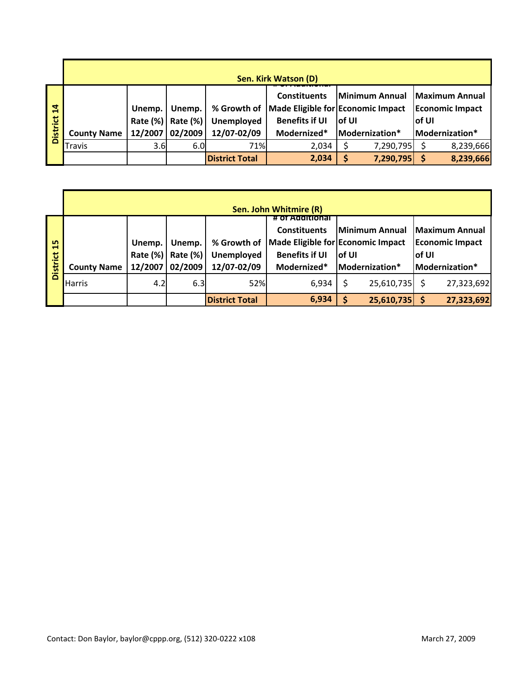|                                   |                    | Sen. Kirk Watson (D) |                    |                                  |                                                                                   |        |                               |        |                        |  |  |  |  |  |
|-----------------------------------|--------------------|----------------------|--------------------|----------------------------------|-----------------------------------------------------------------------------------|--------|-------------------------------|--------|------------------------|--|--|--|--|--|
| $\overline{a}$<br><b>District</b> |                    | Unemp.<br>Rate (%)   | Unemp.<br>Rate (%) | % Growth of<br><b>Unemployed</b> | <b>Constituents</b><br>Made Eligible for Economic Impact<br><b>Benefits if UI</b> | lof UI | Minimum Annual Maximum Annual | lof UI | <b>Economic Impact</b> |  |  |  |  |  |
|                                   | <b>County Name</b> | 12/2007              | 02/2009            | 12/07-02/09                      | Modernized*                                                                       |        | Modernization*                |        | Modernization*         |  |  |  |  |  |
|                                   | <b>Travis</b>      | 3.6                  | 6.0                | 71%                              | 2,034                                                                             |        | 7,290,795                     |        | 8,239,666              |  |  |  |  |  |
|                                   |                    |                      |                    | <b>District Total</b>            | 2,034                                                                             |        | 7,290,795                     |        | 8,239,666              |  |  |  |  |  |

|                       |                    |                    |                    |                                  | Sen. John Whitmire (R)                                          |                                             |                |                                                                   |                |
|-----------------------|--------------------|--------------------|--------------------|----------------------------------|-----------------------------------------------------------------|---------------------------------------------|----------------|-------------------------------------------------------------------|----------------|
| 15<br><b>District</b> |                    | Unemp.<br>Rate (%) | Unemp.<br>Rate (%) | % Growth of<br><b>Unemployed</b> | # of Additional<br><b>Constituents</b><br><b>Benefits if UI</b> | Made Eligible for Economic Impact<br>lof UI |                | Minimum Annual Maximum Annual<br><b>Economic Impact</b><br>lof UI |                |
|                       | <b>County Name</b> | 12/2007            | 02/2009            | 12/07-02/09                      | Modernized*                                                     |                                             | Modernization* |                                                                   | Modernization* |
|                       | Harris             | 4.2                | 6.3                | 52%                              | 6,934                                                           |                                             | 25,610,735     |                                                                   | 27,323,692     |
|                       |                    |                    |                    | <b>District Total</b>            | 6,934                                                           | S                                           | 25,610,735     |                                                                   | 27,323,692     |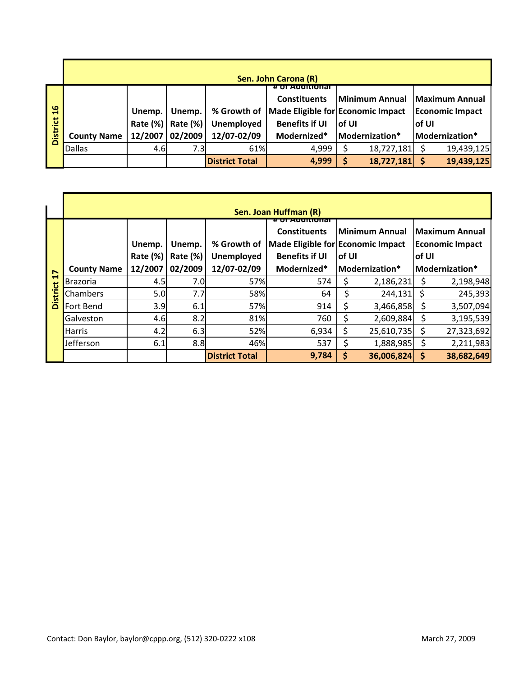|                 |                    |          |          |                       | Sen. John Carona (R)              |        |                               |        |                        |
|-----------------|--------------------|----------|----------|-----------------------|-----------------------------------|--------|-------------------------------|--------|------------------------|
|                 |                    |          |          |                       | 77 ОТ АООПНОЛЯ                    |        |                               |        |                        |
|                 |                    |          |          |                       | <b>Constituents</b>               |        | Minimum Annual Maximum Annual |        |                        |
| 16              |                    | Unemp.   | Unemp.   | % Growth of           | Made Eligible for Economic Impact |        |                               |        | <b>Economic Impact</b> |
|                 |                    | Rate (%) | Rate (%) | Unemployed            | <b>Benefits if UI</b>             | lof UI |                               | lof UI |                        |
| <b>District</b> | <b>County Name</b> | 12/2007  | 02/2009  | 12/07-02/09           | Modernized*                       |        | Modernization*                |        | Modernization*         |
|                 | <b>Dallas</b>      | 4.6      | 7.3I     | 61%                   | 4,999                             |        | 18,727,181                    |        | 19,439,125             |
|                 |                    |          |          | <b>District Total</b> | 4,999                             | S      | 18,727,181                    |        | 19,439,125             |

| $\frac{6}{1}$   |                    | Unemp.   | Unemp.   | % Growth of           |                         | Made Eligible for Economic Impact | <b>Economic Impact</b>            |
|-----------------|--------------------|----------|----------|-----------------------|-------------------------|-----------------------------------|-----------------------------------|
|                 |                    | Rate (%) | Rate (%) | Unemployed            | <b>Benefits if UI</b>   | of UI                             | of UI                             |
| <b>District</b> | <b>County Name</b> | 12/2007  | 02/2009  | 12/07-02/09           | Modernized*             | Modernization*                    | Modernization*                    |
|                 | <b>Dallas</b>      | 4.6      | 7.3      | 61%                   | 4,999                   | \$<br>18,727,181                  | \$<br>19,439,125                  |
|                 |                    |          |          | <b>District Total</b> | 4,999                   | \$<br>18,727,181                  | $\ddot{\bm{\zeta}}$<br>19,439,125 |
|                 |                    |          |          |                       |                         |                                   |                                   |
|                 |                    |          |          |                       |                         |                                   |                                   |
|                 |                    |          |          |                       |                         |                                   |                                   |
|                 |                    |          |          |                       | Sen. Joan Huffman (R)   |                                   |                                   |
|                 |                    |          |          |                       | <del># ण Auuातणाव</del> |                                   |                                   |
|                 |                    |          |          |                       | <b>Constituents</b>     | <b>Minimum Annual</b>             | <b>Maximum Annual</b>             |
|                 |                    | Unemp.   | Unemp.   | % Growth of           |                         | Made Eligible for Economic Impact | <b>Economic Impact</b>            |
|                 |                    | Rate (%) | Rate (%) | Unemployed            | <b>Benefits if UI</b>   | of UI                             | of UI                             |
| 17              | <b>County Name</b> | 12/2007  | 02/2009  | 12/07-02/09           | Modernized*             | Modernization*                    | Modernization*                    |
|                 | Brazoria           | 4.5      | 7.0      | 57%                   | 574                     | \$<br>2,186,231                   | \$<br>2,198,948                   |
| <b>District</b> | Chambers           | 5.0      | 7.7      | 58%                   | 64                      | \$<br>244,131                     | \$<br>245,393                     |
|                 | Fort Bend          | 3.9      | 6.1      | 57%                   | 914                     | \$<br>3,466,858                   | \$<br>3,507,094                   |
|                 | Galveston          | 4.6      | 8.2      | 81%                   | 760                     | \$<br>2,609,884                   | \$<br>3,195,539                   |
|                 | <b>Harris</b>      | 4.2      | 6.3      | 52%                   | 6,934                   | \$<br>25,610,735                  | \$<br>27,323,692                  |
|                 | Jefferson          | 6.1      | 8.8      | 46%                   | 537                     | \$<br>1,888,985                   | \$<br>2,211,983                   |
|                 |                    |          |          | <b>District Total</b> | 9,784                   | \$<br>36,006,824                  | \$<br>38,682,649                  |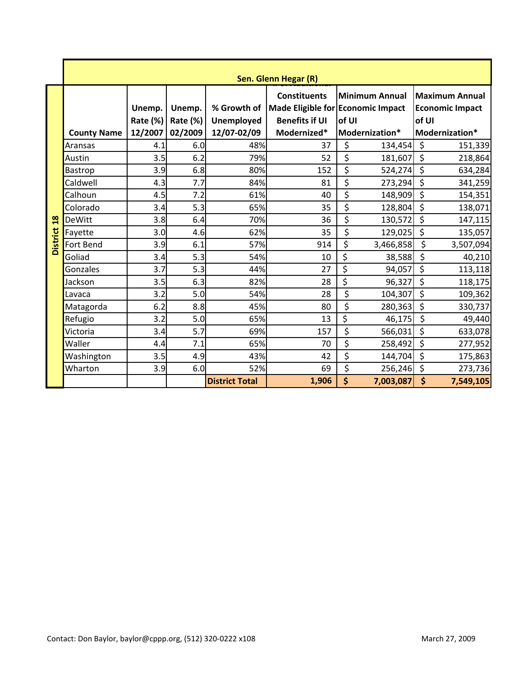|                 |                    |                    |                    |                                  | Sen. Glenn Hegar (R)                                       |                  |                |                    |                        |
|-----------------|--------------------|--------------------|--------------------|----------------------------------|------------------------------------------------------------|------------------|----------------|--------------------|------------------------|
|                 |                    |                    |                    |                                  | <b>Constituents</b>                                        |                  | Minimum Annual |                    | <b>Maximum Annual</b>  |
|                 |                    | Unemp.<br>Rate (%) | Unemp.<br>Rate (%) | % Growth of<br><b>Unemployed</b> | Made Eligible for Economic Impact<br><b>Benefits if UI</b> | of UI            |                | of UI              | <b>Economic Impact</b> |
|                 | <b>County Name</b> | 12/2007            | 02/2009            | 12/07-02/09                      | Modernized*                                                |                  | Modernization* |                    | Modernization*         |
|                 | Aransas            | 4.1                | 6.0                | 48%                              | 37                                                         | \$               | 134,454        | \$                 | 151,339                |
|                 | Austin             | 3.5                | 6.2                | 79%                              | 52                                                         | \$               | 181,607        | \$                 | 218,864                |
|                 | Bastrop            | 3.9                | 6.8                | 80%                              | 152                                                        | \$               | 524,274        | \$                 | 634,284                |
|                 | Caldwell           | 4.3                | 7.7                | 84%                              | 81                                                         | \$               | 273,294        | \$                 | 341,259                |
|                 | Calhoun            | 4.5                | 7.2                | 61%                              | 40                                                         | \$               | 148,909        | \$                 | 154,351                |
|                 | Colorado           | 3.4                | 5.3                | 65%                              | 35                                                         | \$               | 128,804        | \$                 | 138,071                |
| $\frac{8}{18}$  | <b>DeWitt</b>      | 3.8                | 6.4                | 70%                              | 36                                                         | \$               | 130,572        | \$                 | 147,115                |
|                 | Fayette            | 3.0                | 4.6                | 62%                              | 35                                                         | \$               | 129,025        | \$                 | 135,057                |
| <b>District</b> | Fort Bend          | 3.9                | 6.1                | 57%                              | 914                                                        | \$               | 3,466,858      | \$                 | 3,507,094              |
|                 | Goliad             | 3.4                | 5.3                | 54%                              | 10                                                         | \$               | 38,588         | \$                 | 40,210                 |
|                 | Gonzales           | 3.7                | 5.3                | 44%                              | 27                                                         | \$               | 94,057         | \$                 | 113,118                |
|                 | Jackson            | 3.5                | 6.3                | 82%                              | 28                                                         | \$               | 96,327         | \$                 | 118,175                |
|                 | Lavaca             | 3.2                | 5.0                | 54%                              | 28                                                         | \$               | 104,307        | \$                 | 109,362                |
|                 | Matagorda          | 6.2                | 8.8                | 45%                              | 80                                                         | \$               | 280,363        | \$                 | 330,737                |
|                 | Refugio            | 3.2                | 5.0                | 65%                              | 13                                                         | \$               | 46,175         | \$                 | 49,440                 |
|                 | Victoria           | 3.4                | 5.7                | 69%                              | 157                                                        | \$               | 566,031        | \$                 | 633,078                |
|                 | Waller             | 4.4                | 7.1                | 65%                              | 70                                                         | \$               | 258,492        | \$                 | 277,952                |
|                 | Washington         | 3.5                | 4.9                | 43%                              | 42                                                         | \$               | 144,704        | \$                 | 175,863                |
|                 | Wharton            | 3.9                | 6.0                | 52%                              | 69                                                         | $\overline{\xi}$ | 256,246        | \$                 | 273,736                |
|                 |                    |                    |                    | <b>District Total</b>            | 1,906                                                      | \$               | 7,003,087      | $\dot{\mathsf{S}}$ | 7,549,105              |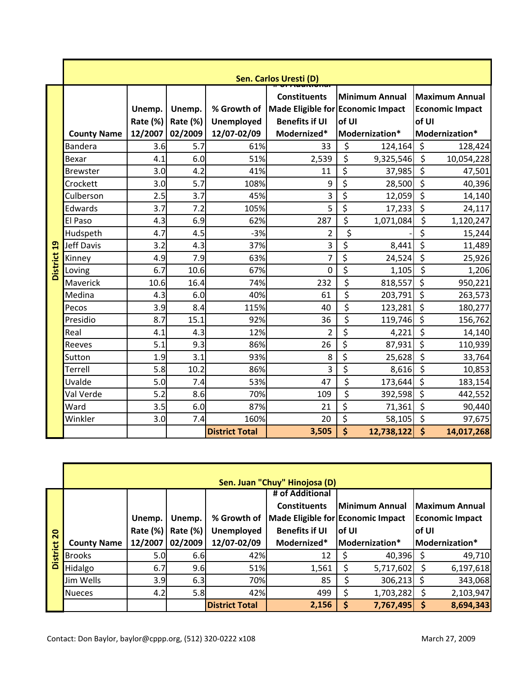|                 | Sen. Carlos Uresti (D)               |                                      |                                      |                                                        |                                                                                                        |                  |                                             |             |                                                                              |
|-----------------|--------------------------------------|--------------------------------------|--------------------------------------|--------------------------------------------------------|--------------------------------------------------------------------------------------------------------|------------------|---------------------------------------------|-------------|------------------------------------------------------------------------------|
|                 | <b>County Name</b><br><b>Bandera</b> | Unemp.<br>Rate (%)<br>12/2007<br>3.6 | Unemp.<br>Rate (%)<br>02/2009<br>5.7 | % Growth of<br><b>Unemployed</b><br>12/07-02/09<br>61% | <b>Constituents</b><br>Made Eligible for Economic Impact<br><b>Benefits if UI</b><br>Modernized*<br>33 | of UI<br>\$      | Minimum Annual<br>Modernization*<br>124,164 | of UI<br>\$ | <b>Maximum Annual</b><br><b>Economic Impact</b><br>Modernization*<br>128,424 |
|                 |                                      |                                      |                                      |                                                        |                                                                                                        |                  |                                             |             |                                                                              |
|                 | Bexar                                | 4.1                                  | 6.0                                  | 51%                                                    | 2,539                                                                                                  | \$               | 9,325,546                                   | \$          | 10,054,228                                                                   |
|                 | <b>Brewster</b>                      | 3.0                                  | 4.2                                  | 41%                                                    | 11                                                                                                     | \$               | 37,985                                      | \$          | 47,501                                                                       |
|                 | Crockett                             | 3.0                                  | 5.7                                  | 108%                                                   | 9                                                                                                      | \$               | 28,500                                      | \$          | 40,396                                                                       |
|                 | Culberson                            | 2.5                                  | 3.7                                  | 45%                                                    | 3                                                                                                      | \$               | 12,059                                      | \$          | 14,140                                                                       |
|                 | Edwards                              | 3.7                                  | 7.2                                  | 105%                                                   | 5                                                                                                      | \$               | 17,233                                      | \$          | 24,117                                                                       |
|                 | El Paso                              | 4.3                                  | 6.9                                  | 62%                                                    | 287                                                                                                    | \$               | 1,071,084                                   | \$          | 1,120,247                                                                    |
|                 | Hudspeth                             | 4.7                                  | 4.5                                  | $-3%$                                                  | $\overline{2}$                                                                                         | \$               |                                             | \$          | 15,244                                                                       |
| 19              | Jeff Davis                           | 3.2                                  | 4.3                                  | 37%                                                    | 3                                                                                                      | \$               | 8,441                                       | \$          | 11,489                                                                       |
| <b>District</b> | Kinney                               | 4.9                                  | 7.9                                  | 63%                                                    | 7                                                                                                      | \$               | 24,524                                      | \$          | 25,926                                                                       |
|                 | Loving                               | 6.7                                  | 10.6                                 | 67%                                                    | $\mathbf 0$                                                                                            | $\overline{\xi}$ | 1,105                                       | \$          | 1,206                                                                        |
|                 | Maverick                             | 10.6                                 | 16.4                                 | 74%                                                    | 232                                                                                                    | $\overline{\xi}$ | 818,557                                     | \$          | 950,221                                                                      |
|                 | Medina                               | 4.3                                  | 6.0                                  | 40%                                                    | 61                                                                                                     | \$               | 203,791                                     | \$          | 263,573                                                                      |
|                 | Pecos                                | 3.9                                  | 8.4                                  | 115%                                                   | 40                                                                                                     | \$               | 123,281                                     | \$          | 180,277                                                                      |
|                 | Presidio                             | 8.7                                  | 15.1                                 | 92%                                                    | 36                                                                                                     | \$               | 119,746                                     | \$          | 156,762                                                                      |
|                 | Real                                 | 4.1                                  | 4.3                                  | 12%                                                    | $\overline{2}$                                                                                         | \$               | 4,221                                       | \$          | 14,140                                                                       |
|                 | Reeves                               | 5.1                                  | 9.3                                  | 86%                                                    | 26                                                                                                     | $\overline{\xi}$ | 87,931                                      | \$          | 110,939                                                                      |
|                 | Sutton                               | 1.9                                  | 3.1                                  | 93%                                                    | 8                                                                                                      | \$               | 25,628                                      | \$          | 33,764                                                                       |
|                 | Terrell                              | 5.8                                  | 10.2                                 | 86%                                                    | 3                                                                                                      | $\overline{\xi}$ | 8,616                                       | \$          | 10,853                                                                       |
|                 | Uvalde                               | 5.0                                  | 7.4                                  | 53%                                                    | 47                                                                                                     | \$               | 173,644                                     | \$          | 183,154                                                                      |
|                 | Val Verde                            | 5.2                                  | 8.6                                  | 70%                                                    | 109                                                                                                    | \$               | 392,598                                     | \$          | 442,552                                                                      |
|                 | Ward                                 | 3.5                                  | 6.0                                  | 87%                                                    | 21                                                                                                     | \$               | 71,361                                      | \$          | 90,440                                                                       |
|                 | Winkler                              | 3.0                                  | 7.4                                  | 160%                                                   | 20                                                                                                     | \$               | 58,105                                      | \$          | 97,675                                                                       |
|                 |                                      |                                      |                                      | <b>District Total</b>                                  | 3,505                                                                                                  | \$               | 12,738,122                                  | \$          | 14,017,268                                                                   |
|                 |                                      |                                      |                                      |                                                        | Sen. Juan "Chuy" Hinojosa (D)                                                                          |                  |                                             |             |                                                                              |
|                 |                                      |                                      |                                      |                                                        | # of Additional                                                                                        |                  |                                             |             |                                                                              |
|                 |                                      |                                      |                                      |                                                        | <b>Constituents</b>                                                                                    |                  | Minimum Annual                              |             | <b>Maximum Annual</b>                                                        |
|                 |                                      | Unemp.                               | Unemp.                               | % Growth of                                            | Made Eligible for Economic Impact                                                                      |                  |                                             |             | <b>Economic Impact</b>                                                       |
|                 |                                      | <b>Rate (%)</b>                      | Rate (%)                             | <b>Unemployed</b>                                      | <b>Benefits if UI</b>                                                                                  | of UI            |                                             | of UI       |                                                                              |
| District 20     | <b>County Name</b>                   | 12/2007                              | 02/2009                              | 12/07-02/09                                            | Modernized*                                                                                            |                  | Modernization*                              |             | Modernization*                                                               |
|                 | <b>Brooks</b>                        | 5.0                                  | 6.6                                  | 42%                                                    | 12                                                                                                     | \$               | 40,396                                      | \$          | 49,710                                                                       |
|                 | <b>Hidaloo</b>                       | 67                                   | $Q \cap C$                           | 51%                                                    | 1561                                                                                                   | ¢                | $5717602$ $\zeta$                           |             | 6197618                                                                      |

|                 |                    |             |                 |                       | Sen. Juan "Chuy" Hinojosa (D)     |        |                        |       |                        |
|-----------------|--------------------|-------------|-----------------|-----------------------|-----------------------------------|--------|------------------------|-------|------------------------|
|                 |                    |             |                 |                       | # of Additional                   |        |                        |       |                        |
|                 |                    |             |                 |                       | <b>Constituents</b>               |        | Minimum Annual         |       | <b>Maximum Annual</b>  |
|                 |                    | Unemp.      | Unemp.          | % Growth of           | Made Eligible for Economic Impact |        |                        |       | <b>Economic Impact</b> |
| $\overline{20}$ |                    | Rate $(\%)$ | <b>Rate (%)</b> | <b>Unemployed</b>     | <b>Benefits if UI</b>             | lof UI |                        | of UI |                        |
|                 | <b>County Name</b> | 12/2007     | 02/2009         | 12/07-02/09           | Modernized*                       |        | <b>IModernization*</b> |       | Modernization*         |
| <b>District</b> | <b>Brooks</b>      | 5.0         | 6.6             | 42%                   | 12                                |        | 40,396                 |       | 49,710                 |
|                 | Hidalgo            | 6.7         | 9.6             | 51%                   | 1,561                             | S      | 5,717,602              |       | 6,197,618              |
|                 | Jim Wells          | 3.9         | 6.3             | 70%                   | 85                                |        | $306,213$ \$           |       | 343,068                |
|                 | <b>Nueces</b>      | 4.2         | 5.8             | 42%                   | 499                               | Ş      | 1,703,282              |       | 2,103,947              |
|                 |                    |             |                 | <b>District Total</b> | 2,156                             | S      | 7,767,495              |       | 8,694,343              |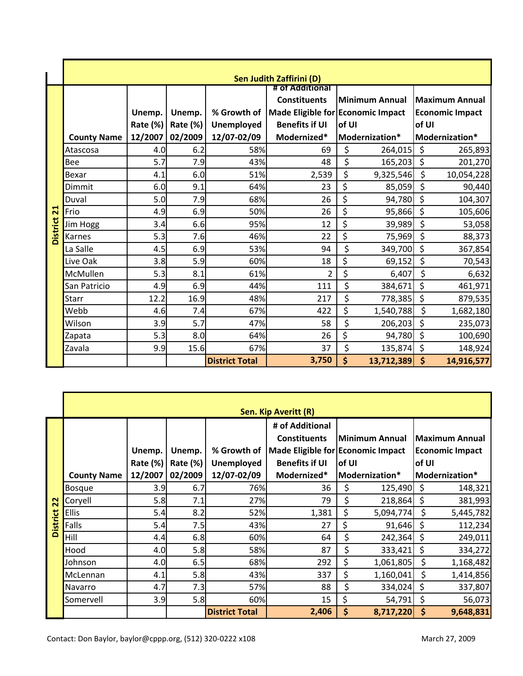|                 |                    |          |          |                       | Sen Judith Zaffirini (D)                        |       |                       |         |                        |
|-----------------|--------------------|----------|----------|-----------------------|-------------------------------------------------|-------|-----------------------|---------|------------------------|
|                 |                    |          |          |                       | # of Additional<br><b>Constituents</b>          |       | <b>Minimum Annual</b> |         | <b>Maximum Annual</b>  |
|                 |                    | Unemp.   | Unemp.   |                       | % Growth of   Made Eligible for Economic Impact |       |                       |         | <b>Economic Impact</b> |
|                 |                    | Rate (%) | Rate (%) | <b>Unemployed</b>     | <b>Benefits if UI</b>                           | of UI |                       | of UI   |                        |
|                 | <b>County Name</b> | 12/2007  | 02/2009  | 12/07-02/09           | Modernized*                                     |       | Modernization*        |         | Modernization*         |
|                 | Atascosa           | 4.0      | 6.2      | 58%                   | 69                                              | \$    | 264,015               | \$      | 265,893                |
|                 | Bee                | 5.7      | 7.9      | 43%                   | 48                                              | \$    | 165,203               | \$      | 201,270                |
|                 | Bexar              | 4.1      | 6.0      | 51%                   | 2,539                                           | \$    | 9,325,546             | \$      | 10,054,228             |
|                 | Dimmit             | 6.0      | 9.1      | 64%                   | 23                                              | \$    | 85,059                | \$      | 90,440                 |
|                 | Duval              | 5.0      | 7.9      | 68%                   | 26                                              | \$    | 94,780                | \$      | 104,307                |
| $\overline{21}$ | Frio               | 4.9      | 6.9      | 50%                   | 26                                              | \$    | 95,866                | \$      | 105,606                |
| <b>District</b> | Jim Hogg           | 3.4      | 6.6      | 95%                   | 12                                              | \$    | 39,989                | \$      | 53,058                 |
|                 | Karnes             | 5.3      | 7.6      | 46%                   | 22                                              | \$    | 75,969                | \$      | 88,373                 |
|                 | La Salle           | 4.5      | 6.9      | 53%                   | 94                                              | \$    | 349,700               | \$      | 367,854                |
|                 | Live Oak           | 3.8      | 5.9      | 60%                   | 18                                              | \$    | 69,152                | \$      | 70,543                 |
|                 | McMullen           | 5.3      | 8.1      | 61%                   | 2                                               | \$    | 6,407                 | \$      | 6,632                  |
|                 | San Patricio       | 4.9      | 6.9      | 44%                   | 111                                             | \$    | 384,671               | \$      | 461,971                |
|                 | <b>Starr</b>       | 12.2     | 16.9     | 48%                   | 217                                             | \$    | 778,385               | \$      | 879,535                |
|                 | Webb               | 4.6      | 7.4      | 67%                   | 422                                             | \$    | 1,540,788             | $\zeta$ | 1,682,180              |
|                 | Wilson             | 3.9      | 5.7      | 47%                   | 58                                              | \$    | 206,203               | \$      | 235,073                |
|                 | Zapata             | 5.3      | 8.0      | 64%                   | 26                                              | \$    | 94,780                | \$      | 100,690                |
|                 | Zavala             | 9.9      | 15.6     | 67%                   | 37                                              | \$    | 135,874               | \$      | 148,924                |
|                 |                    |          |          | <b>District Total</b> | 3,750                                           | \$    | 13,712,389            | \$      | 14,916,577             |

|                 |                    |          |          |                       | Sen. Kip Averitt (R)              |       |                       |       |                        |
|-----------------|--------------------|----------|----------|-----------------------|-----------------------------------|-------|-----------------------|-------|------------------------|
|                 |                    |          |          |                       | # of Additional                   |       |                       |       |                        |
|                 |                    |          |          |                       | <b>Constituents</b>               |       | <b>Minimum Annual</b> |       | <b>Maximum Annual</b>  |
|                 |                    | Unemp.   | Unemp.   | % Growth of           | Made Eligible for Economic Impact |       |                       |       | <b>Economic Impact</b> |
|                 |                    | Rate (%) | Rate (%) | Unemployed            | <b>Benefits if UI</b>             | of UI |                       | of UI |                        |
|                 | <b>County Name</b> | 12/2007  | 02/2009  | 12/07-02/09           | Modernized*                       |       | Modernization*        |       | Modernization*         |
|                 | <b>Bosque</b>      | 3.9      | 6.7      | 76%                   | 36                                | \$    | 125,490               | \$    | 148,321                |
| 22              | Coryell            | 5.8      | 7.1      | 27%                   | 79                                | \$    | 218,864               | \$    | 381,993                |
|                 | <b>Ellis</b>       | 5.4      | 8.2      | 52%                   | 1,381                             | \$    | 5,094,774             | \$    | 5,445,782              |
| <b>District</b> | Falls              | 5.4      | 7.5      | 43%                   | 27                                | \$    | 91,646                | \$    | 112,234                |
|                 | Hill               | 4.4      | 6.8      | 60%                   | 64                                | \$    | 242,364               | \$    | 249,011                |
|                 | Hood               | 4.0      | 5.8      | 58%                   | 87                                | \$    | 333,421               | \$    | 334,272                |
|                 | Johnson            | 4.0      | 6.5      | 68%                   | 292                               | \$    | 1,061,805             | \$    | 1,168,482              |
|                 | McLennan           | 4.1      | 5.8      | 43%                   | 337                               | \$    | 1,160,041             | \$    | 1,414,856              |
|                 | <b>Navarro</b>     | 4.7      | 7.3      | 57%                   | 88                                | \$    | 334,024               | \$    | 337,807                |
|                 | Somervell          | 3.9      | 5.8      | 60%                   | 15                                | \$    | 54,791                | \$    | 56,073                 |
|                 |                    |          |          | <b>District Total</b> | 2,406                             | \$    | 8,717,220             | \$    | 9,648,831              |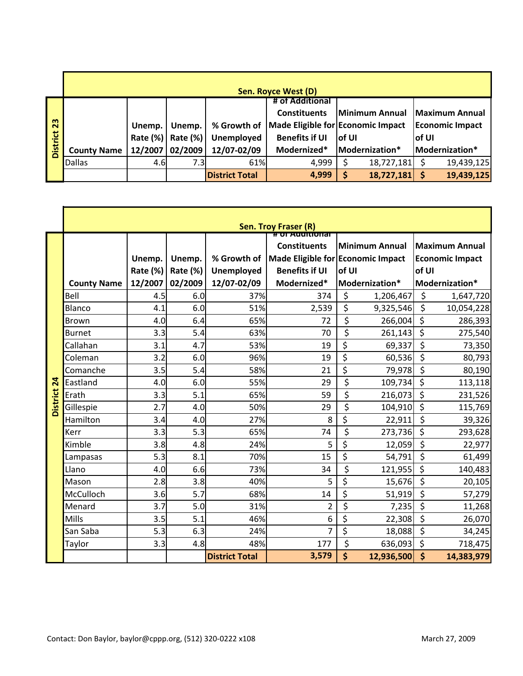|                 |                    | Sen. Royce West (D) |          |                       |                                   |        |                |        |                        |  |  |  |  |  |
|-----------------|--------------------|---------------------|----------|-----------------------|-----------------------------------|--------|----------------|--------|------------------------|--|--|--|--|--|
|                 |                    |                     |          |                       | # of Additional                   |        |                |        |                        |  |  |  |  |  |
|                 |                    |                     |          |                       | <b>Constituents</b>               |        | Minimum Annual |        | <b>Maximum Annual</b>  |  |  |  |  |  |
| 23              |                    | Unemp.              | Unemp.   | % Growth of           | Made Eligible for Economic Impact |        |                |        | <b>Economic Impact</b> |  |  |  |  |  |
| <b>District</b> |                    | Rate (%)            | Rate (%) | <b>Unemployed</b>     | <b>Benefits if UI</b>             | lof UI |                | lof UI |                        |  |  |  |  |  |
|                 | <b>County Name</b> | 12/2007             | 02/2009  | 12/07-02/09           | Modernized*                       |        | Modernization* |        | Modernization*         |  |  |  |  |  |
|                 | <b>Dallas</b>      | 4.6                 | 7.3I     | 61%                   | 4,999                             |        | 18,727,181     |        | 19,439,125             |  |  |  |  |  |
|                 |                    |                     |          | <b>District Total</b> | 4,999                             | Ś      | 18,727,181     |        | 19,439,125             |  |  |  |  |  |

|                 |                    |                    |                    |                           | Sen. Troy Fraser (R)                                                                                 |                  |                       |         |                                                 |
|-----------------|--------------------|--------------------|--------------------|---------------------------|------------------------------------------------------------------------------------------------------|------------------|-----------------------|---------|-------------------------------------------------|
|                 |                    | Unemp.<br>Rate (%) | Unemp.<br>Rate (%) | % Growth of<br>Unemployed | # OF AQUILIONER<br><b>Constituents</b><br>Made Eligible for Economic Impact<br><b>Benefits if UI</b> | of UI            | <b>Minimum Annual</b> | of UI   | <b>Maximum Annual</b><br><b>Economic Impact</b> |
|                 | <b>County Name</b> | 12/2007            | 02/2009            | 12/07-02/09               | Modernized*                                                                                          |                  | Modernization*        |         | Modernization*                                  |
|                 | Bell               | 4.5                | 6.0                | 37%                       | 374                                                                                                  | \$               | 1,206,467             | $\zeta$ | 1,647,720                                       |
|                 | Blanco             | 4.1                | 6.0                | 51%                       | 2,539                                                                                                | \$               | 9,325,546             | \$      | 10,054,228                                      |
|                 | <b>Brown</b>       | 4.0                | 6.4                | 65%                       | 72                                                                                                   | \$               | 266,004               | $\zeta$ | 286,393                                         |
|                 | <b>Burnet</b>      | 3.3                | 5.4                | 63%                       | 70                                                                                                   | \$               | 261,143               | \$      | 275,540                                         |
|                 | Callahan           | 3.1                | 4.7                | 53%                       | 19                                                                                                   | \$               | 69,337                | \$      | 73,350                                          |
|                 | Coleman            | 3.2                | 6.0                | 96%                       | 19                                                                                                   | $\overline{\xi}$ | 60,536                | \$      | 80,793                                          |
|                 | Comanche           | 3.5                | 5.4                | 58%                       | 21                                                                                                   | \$               | 79,978                | \$      | 80,190                                          |
| $\overline{24}$ | Eastland           | 4.0                | 6.0                | 55%                       | 29                                                                                                   | \$               | 109,734               | $\zeta$ | 113,118                                         |
|                 | Erath              | 3.3                | 5.1                | 65%                       | 59                                                                                                   | \$               | 216,073               | $\zeta$ | 231,526                                         |
| <b>District</b> | Gillespie          | 2.7                | 4.0                | 50%                       | 29                                                                                                   | \$               | 104,910 \$            |         | 115,769                                         |
|                 | Hamilton           | 3.4                | 4.0                | 27%                       | 8                                                                                                    | \$               | 22,911                | \$      | 39,326                                          |
|                 | Kerr               | 3.3                | 5.3                | 65%                       | 74                                                                                                   | \$               | 273,736               | $\zeta$ | 293,628                                         |
|                 | Kimble             | 3.8                | 4.8                | 24%                       | 5                                                                                                    | \$               | 12,059                | \$      | 22,977                                          |
|                 | Lampasas           | 5.3                | 8.1                | 70%                       | 15                                                                                                   | $\overline{\xi}$ | 54,791                | \$      | 61,499                                          |
|                 | Llano              | 4.0                | 6.6                | 73%                       | 34                                                                                                   | \$               | 121,955               | $\zeta$ | 140,483                                         |
|                 | Mason              | 2.8                | 3.8                | 40%                       | 5                                                                                                    | \$               | 15,676                | \$      | 20,105                                          |
|                 | McCulloch          | 3.6                | 5.7                | 68%                       | 14                                                                                                   | \$               | 51,919                | \$      | 57,279                                          |
|                 | Menard             | 3.7                | 5.0                | 31%                       | $\overline{2}$                                                                                       | \$               | 7,235                 | \$      | 11,268                                          |
|                 | <b>Mills</b>       | 3.5                | 5.1                | 46%                       | 6                                                                                                    | \$               | 22,308                | \$      | 26,070                                          |
|                 | San Saba           | 5.3                | 6.3                | 24%                       | $\overline{7}$                                                                                       | \$               | 18,088                | \$      | 34,245                                          |
|                 | Taylor             | 3.3                | 4.8                | 48%                       | 177                                                                                                  | \$               | 636,093               | $\zeta$ | 718,475                                         |
|                 |                    |                    |                    | <b>District Total</b>     | 3,579                                                                                                | \$               | 12,936,500            | \$      | 14,383,979                                      |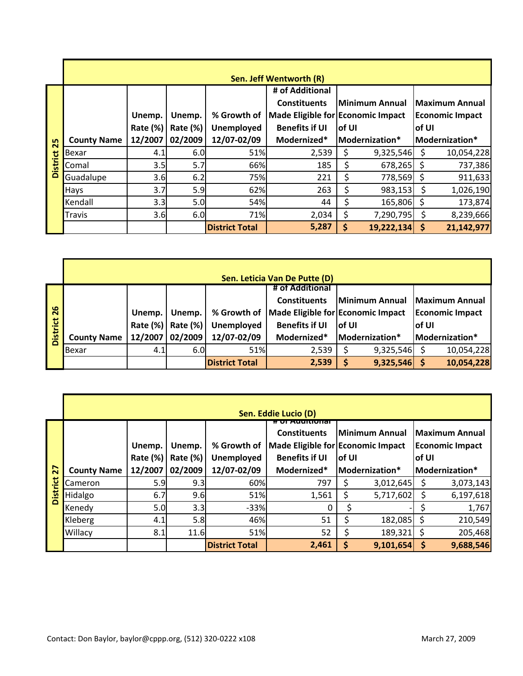|               |                    |                 |          |                       | Sen. Jeff Wentworth (R)           |        |                 |       |                        |
|---------------|--------------------|-----------------|----------|-----------------------|-----------------------------------|--------|-----------------|-------|------------------------|
|               |                    |                 |          |                       | # of Additional                   |        |                 |       |                        |
|               |                    |                 |          |                       | <b>Constituents</b>               |        | lMinimum Annual |       | <b>Maximum Annual</b>  |
|               |                    | Unemp.          | Unemp.   | % Growth of           | Made Eligible for Economic Impact |        |                 |       | <b>Economic Impact</b> |
|               |                    | <b>Rate (%)</b> | Rate (%) | <b>Unemployed</b>     | <b>Benefits if UI</b>             | lof UI |                 | of UI |                        |
| 25            | <b>County Name</b> | 12/2007         | 02/2009  | 12/07-02/09           | Modernized*                       |        | Modernization*  |       | Modernization*         |
| ಕ             | Bexar              | 4.1             | 6.0      | 51%                   | 2,539                             | Ş      | 9,325,546       | S     | 10,054,228             |
| <b>Distri</b> | Comal              | 3.5             | 5.7      | 66%                   | 185                               | \$     | 678,265         |       | 737,386                |
|               | Guadalupe          | 3.6             | 6.2      | 75%                   | 221                               | Ś      | 778,569 \$      |       | 911,633                |
|               | <b>Hays</b>        | 3.7             | 5.9      | 62%                   | 263                               | \$     | 983,153         | S     | 1,026,190              |
|               | Kendall            | 3.3             | 5.0      | 54%                   | 44                                | Ś      | 165,806         |       | 173,874                |
|               | <b>Travis</b>      | 3.6             | 6.0      | 71%                   | 2,034                             | \$     | 7,290,795       | Ś     | 8,239,666              |
|               |                    |                 |          | <b>District Total</b> | 5,287                             | S      | 19,222,134      | S     | 21,142,977             |

|          |                    |          |             |                       | Sen. Leticia Van De Putte (D)     |        |                |        |                        |
|----------|--------------------|----------|-------------|-----------------------|-----------------------------------|--------|----------------|--------|------------------------|
|          |                    |          |             |                       | # of Additional                   |        |                |        |                        |
|          |                    |          |             |                       | <b>Constituents</b>               |        | Minimum Annual |        | Maximum Annual         |
| 26       |                    | Unemp.   | Unemp.      | % Growth of           | Made Eligible for Economic Impact |        |                |        | <b>Economic Impact</b> |
| District |                    | Rate (%) | Rate $(\%)$ | Unemployed            | <b>Benefits if UI</b>             | lof UI |                | lof UI |                        |
|          | <b>County Name</b> | 12/2007  | 02/2009     | 12/07-02/09           | Modernized*                       |        | Modernization* |        | Modernization*         |
|          | Bexar              | 4.1      | 6.0         | 51%                   | 2,539                             |        | 9,325,546      |        | 10,054,228             |
|          |                    |          |             | <b>District Total</b> | 2,539                             |        | 9,325,546      |        | 10,054,228             |

| $\overline{26}$ |                    | Unemp.          | Unemp.   | % Growth of           | Made Eligible for Economic Impact |        |                |                    | <b>Economic Impact</b> |
|-----------------|--------------------|-----------------|----------|-----------------------|-----------------------------------|--------|----------------|--------------------|------------------------|
|                 |                    | <b>Rate (%)</b> | Rate (%) | <b>Unemployed</b>     | <b>Benefits if UI</b>             | of UI  |                | of UI              |                        |
| <b>District</b> | <b>County Name</b> | 12/2007         | 02/2009  | 12/07-02/09           | Modernized*                       |        | Modernization* |                    | Modernization*         |
|                 | Bexar              | 4.1             | 6.0      | 51%                   | 2,539                             | \$     | 9,325,546      | \$                 | 10,054,228             |
|                 |                    |                 |          | <b>District Total</b> | 2,539                             | \$     | 9,325,546      | $\dot{\mathsf{S}}$ | 10,054,228             |
|                 |                    |                 |          |                       |                                   |        |                |                    |                        |
|                 |                    |                 |          |                       |                                   |        |                |                    |                        |
|                 |                    |                 |          |                       |                                   |        |                |                    |                        |
|                 |                    |                 |          |                       | Sen. Eddie Lucio (D)              |        |                |                    |                        |
|                 |                    |                 |          |                       | <del># ण Auunnona</del>           |        | Minimum Annual |                    |                        |
|                 |                    |                 |          |                       | <b>Constituents</b>               |        |                |                    | <b>Maximum Annual</b>  |
|                 |                    | Unemp.          | Unemp.   | % Growth of           | Made Eligible for Economic Impact |        |                |                    | <b>Economic Impact</b> |
|                 |                    | Rate (%)        | Rate (%) | <b>Unemployed</b>     | <b>Benefits if UI</b>             | lof UI |                | of UI              |                        |
| 27              | <b>County Name</b> | 12/2007         | 02/2009  | 12/07-02/09           | Modernized*                       |        | Modernization* |                    | Modernization*         |
| <b>District</b> | Cameron            | 5.9             | 9.3      | 60%                   | 797                               | \$     | 3,012,645      | \$                 | 3,073,143              |
|                 |                    |                 |          |                       |                                   |        |                |                    |                        |
|                 | Hidalgo            | 6.7             | 9.6      | 51%                   | 1,561                             | \$     | 5,717,602      | \$                 | 6,197,618              |
|                 | Kenedy             | 5.0             | 3.3      | $-33%$                | 0                                 | \$     |                | \$                 | 1,767                  |
|                 | Kleberg            | 4.1             | 5.8      | 46%                   | 51                                | \$     | 182,085        | \$                 | 210,549                |
|                 | Willacy            | 8.1             | 11.6     | 51%                   | 52                                | \$     | 189,321        | \$                 | 205,468                |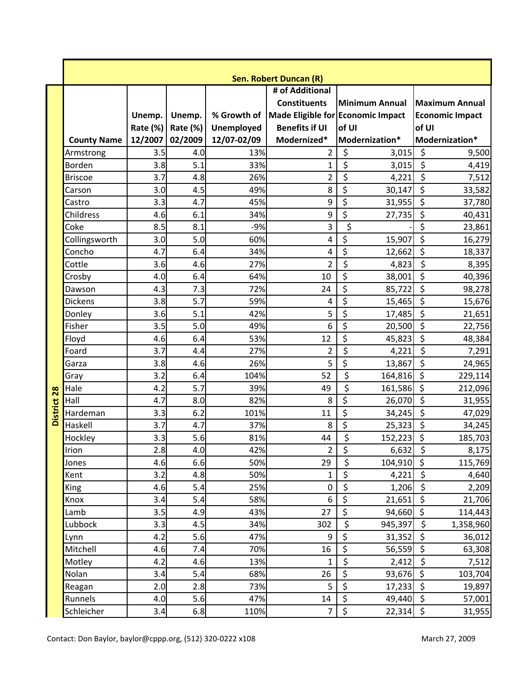|                 |                    |          |          |             | Sen. Robert Duncan (R) |                                                 |                               |
|-----------------|--------------------|----------|----------|-------------|------------------------|-------------------------------------------------|-------------------------------|
|                 |                    |          |          |             | # of Additional        |                                                 |                               |
|                 |                    |          |          |             | <b>Constituents</b>    | <b>Minimum Annual</b>                           | <b>Maximum Annual</b>         |
|                 |                    | Unemp.   | Unemp.   |             |                        | % Growth of   Made Eligible for Economic Impact | <b>Economic Impact</b>        |
|                 |                    | Rate (%) | Rate (%) | Unemployed  | <b>Benefits if UI</b>  | of UI                                           | of UI                         |
|                 | <b>County Name</b> | 12/2007  | 02/2009  | 12/07-02/09 | Modernized*            | Modernization*                                  | Modernization*                |
|                 | Armstrong          | 3.5      | 4.0      | 13%         | $\overline{2}$         | \$<br>3,015                                     | \$<br>9,500                   |
|                 | Borden             | 3.8      | 5.1      | 33%         | $\mathbf{1}$           | $\overline{\xi}$<br>3,015                       | $\overline{\xi}$<br>4,419     |
|                 | <b>Briscoe</b>     | 3.7      | 4.8      | 26%         | $\overline{2}$         | \$<br>4,221                                     | \$<br>7,512                   |
|                 | Carson             | 3.0      | 4.5      | 49%         | 8                      | \$<br>30,147                                    | \$<br>33,582                  |
|                 | Castro             | 3.3      | 4.7      | 45%         | 9                      | \$<br>31,955                                    | \$<br>37,780                  |
|                 | Childress          | 4.6      | 6.1      | 34%         | 9                      | $\overline{\xi}$<br>27,735                      | \$<br>40,431                  |
|                 | Coke               | 8.5      | 8.1      | $-9%$       | 3                      | \$                                              | \$<br>23,861                  |
|                 | Collingsworth      | 3.0      | 5.0      | 60%         | 4                      | \$<br>15,907                                    | \$<br>16,279                  |
|                 | Concho             | 4.7      | 6.4      | 34%         | 4                      | \$<br>12,662                                    | \$<br>18,337                  |
|                 | Cottle             | 3.6      | 4.6      | 27%         | $\overline{2}$         | $\overline{\xi}$<br>4,823                       | \$<br>8,395                   |
|                 | Crosby             | 4.0      | 6.4      | 64%         | 10                     | $\overline{\xi}$<br>38,001                      | \$<br>40,396                  |
|                 | Dawson             | 4.3      | 7.3      | 72%         | 24                     | $\overline{\boldsymbol{\zeta}}$<br>85,722       | \$<br>98,278                  |
|                 | <b>Dickens</b>     | 3.8      | 5.7      | 59%         | 4                      | $\overline{\xi}$<br>15,465                      | \$<br>15,676                  |
|                 | Donley             | 3.6      | 5.1      | 42%         | 5                      | \$<br>17,485                                    | \$<br>21,651                  |
|                 | Fisher             | 3.5      | 5.0      | 49%         | 6                      | $\overline{\xi}$<br>20,500                      | \$<br>22,756                  |
|                 | Floyd              | 4.6      | 6.4      | 53%         | 12                     | \$<br>45,823                                    | \$<br>48,384                  |
|                 | Foard              | 3.7      | 4.4      | 27%         | $\overline{2}$         | \$<br>4,221                                     | $\overline{\xi}$<br>7,291     |
|                 | Garza              | 3.8      | 4.6      | 26%         | 5                      | $\overline{\xi}$<br>13,867                      | \$<br>24,965                  |
|                 | Gray               | 3.2      | 6.4      | 104%        | 52                     | \$<br>164,816                                   | $\zeta$<br>229,114            |
| 28              | Hale               | 4.2      | 5.7      | 39%         | 49                     | $\overline{\xi}$<br>161,586                     | \$<br>212,096                 |
|                 | Hall               | 4.7      | 8.0      | 82%         | 8                      | $\overline{\boldsymbol{\zeta}}$<br>26,070       | $\overline{\xi}$<br>31,955    |
| <b>District</b> | Hardeman           | 3.3      | 6.2      | 101%        | 11                     | $\overline{\xi}$<br>34,245                      | \$<br>47,029                  |
|                 | Haskell            | 3.7      | 4.7      | 37%         | 8                      | \$<br>25,323                                    | \$<br>34,245                  |
|                 | Hockley            | 3.3      | 5.6      | 81%         | 44                     | $\overline{\mathsf{S}}$<br>152,223              | $\zeta$<br>185,703            |
|                 | Irion              | 2.8      | 4.0      | 42%         | $\overline{2}$         | \$<br>6,632                                     | \$<br>8,175                   |
|                 | Jones              | 4.6      | 6.6      | 50%         | 29                     | \$<br>104,910                                   | \$<br>115,769                 |
|                 | Kent               | 3.2      | 4.8      | 50%         | $\mathbf{1}$           | $\overline{\xi}$<br>4,221                       | \$<br>4,640                   |
|                 | King               | 4.6      | 5.4      | 25%         | $\boldsymbol{0}$       | \$<br>1,206                                     | $\overline{\xi}$<br>2,209     |
|                 | Knox               | 3.4      | 5.4      | 58%         | 6                      | $\overline{\xi}$<br>21,651                      | \$<br>21,706                  |
|                 | Lamb               | 3.5      | 4.9      | 43%         | 27                     | $\overline{\xi}$<br>94,660                      | \$<br>114,443                 |
|                 | Lubbock            | 3.3      | 4.5      | 34%         | 302                    | $\overline{\xi}$<br>945,397                     | $\overline{\xi}$<br>1,358,960 |
|                 | Lynn               | 4.2      | 5.6      | 47%         | 9                      | $\overline{\xi}$<br>31,352                      | \$<br>36,012                  |
|                 | Mitchell           | 4.6      | 7.4      | 70%         | 16                     | $\overline{\xi}$<br>56,559                      | $\overline{\xi}$<br>63,308    |
|                 | Motley             | 4.2      | 4.6      | 13%         | 1                      | \$<br>2,412                                     | \$<br>7,512                   |
|                 | Nolan              | 3.4      | 5.4      | 68%         | 26                     | $\overline{\boldsymbol{\zeta}}$<br>93,676       | $\zeta$<br>103,704            |
|                 | Reagan             | 2.0      | 2.8      | 73%         | 5                      | $\overline{\xi}$<br>17,233                      | \$<br>19,897                  |
|                 | Runnels            | 4.0      | 5.6      | 47%         | 14                     | $\overline{\xi}$<br>49,440                      | \$<br>57,001                  |
|                 | Schleicher         | 3.4      | 6.8      | 110%        | 7                      | $\overline{\xi}$<br>22,314                      | \$<br>31,955                  |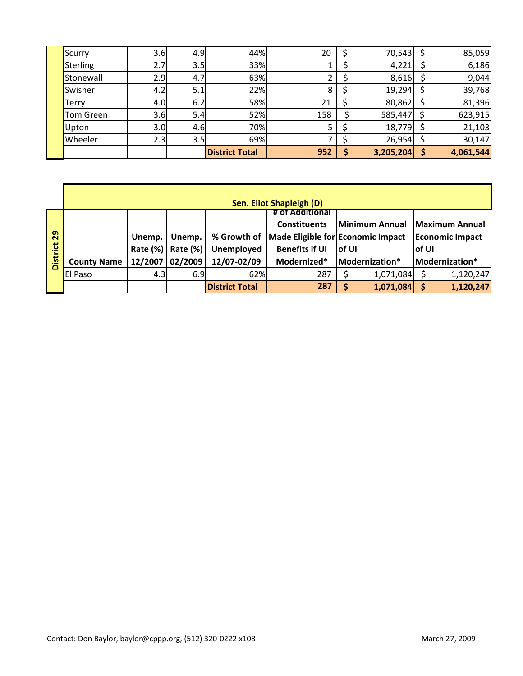| Upton<br>Wheeler | 3.0<br>2.3 | 4.6<br>3.5 | 70%<br>69% |     | 18,779<br>26,954 | 21,103<br>30,147 |
|------------------|------------|------------|------------|-----|------------------|------------------|
| Tom Green        | 3.6        | 5.4        | 52%        | 158 | 585,447          | 623,915          |
| <b>Terry</b>     | 4.0        | 6.2        | 58%        | 21  | 80,862           | 81,396           |
| Swisher          | 4.2        | 5.1        | 22%        | 8   | 19,294           | 39,768           |
| <b>Stonewall</b> | 2.9        | 4.7        | 63%        |     | 8,616            | 9,044            |
| Sterling         | 2.7        | 3.5        | 33%        |     | 4,221            | 6,186            |
| Scurry           | 3.6        | 4.9        | 44%        | 20  | 70,543           | 85,059           |

|                 |                    |          |             |                       | <b>Sen. Eliot Shapleigh (D)</b>        |        |                |        |                        |
|-----------------|--------------------|----------|-------------|-----------------------|----------------------------------------|--------|----------------|--------|------------------------|
|                 |                    |          |             |                       | # of Additional<br><b>Constituents</b> |        | Minimum Annual |        | <b>Maximum Annual</b>  |
| 29              |                    | Unemp.   | Unemp.      | % Growth of           | Made Eligible for Economic Impact      |        |                |        | <b>Economic Impact</b> |
| <b>District</b> |                    | Rate (%) | Rate $(\%)$ | Unemployed            | <b>Benefits if UI</b>                  | lof UI |                | lof UI |                        |
|                 | <b>County Name</b> | 12/2007  | 02/2009     | 12/07-02/09           | Modernized*                            |        | Modernization* |        | Modernization*         |
|                 | <b>El Paso</b>     | 4.3      | 6.9         | 62%                   | 287                                    |        | 1,071,084      |        | 1,120,247              |
|                 |                    |          |             | <b>District Total</b> | 287                                    |        | 1,071,084      |        | 1,120,247              |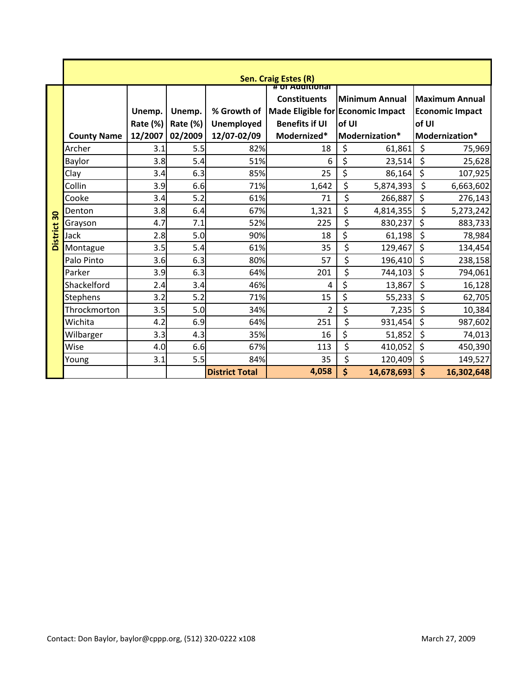|                 |                    |                    |                    |                       | Sen. Craig Estes (R)                                                                                                |                         |                    |                                                 |
|-----------------|--------------------|--------------------|--------------------|-----------------------|---------------------------------------------------------------------------------------------------------------------|-------------------------|--------------------|-------------------------------------------------|
|                 |                    | Unemp.<br>Rate (%) | Unemp.<br>Rate (%) | Unemployed            | НОГАТОГО ПИТОТИЯ<br><b>Constituents</b><br>% Growth of   Made Eligible for Economic Impact<br><b>Benefits if UI</b> | Minimum Annual<br>of UI | of UI              | <b>Maximum Annual</b><br><b>Economic Impact</b> |
|                 | <b>County Name</b> | 12/2007            | 02/2009            | 12/07-02/09           | Modernized*                                                                                                         | Modernization*          |                    | Modernization*                                  |
|                 | Archer             | 3.1                | 5.5                | 82%                   | 18                                                                                                                  | \$<br>61,861            | \$                 | 75,969                                          |
|                 | Baylor             | 3.8                | 5.4                | 51%                   | 6                                                                                                                   | \$<br>23,514            | \$                 | 25,628                                          |
|                 | Clay               | 3.4                | 6.3                | 85%                   | 25                                                                                                                  | \$<br>86,164            | \$                 | 107,925                                         |
|                 | Collin             | 3.9                | 6.6                | 71%                   | 1,642                                                                                                               | \$<br>5,874,393         | \$                 | 6,663,602                                       |
|                 | Cooke              | 3.4                | 5.2                | 61%                   | 71                                                                                                                  | \$<br>266,887           | \$                 | 276,143                                         |
| 30              | Denton             | 3.8                | 6.4                | 67%                   | 1,321                                                                                                               | \$<br>4,814,355         | \$                 | 5,273,242                                       |
|                 | Grayson            | 4.7                | 7.1                | 52%                   | 225                                                                                                                 | \$<br>830,237           | \$                 | 883,733                                         |
| <b>District</b> | Jack               | 2.8                | 5.0                | 90%                   | 18                                                                                                                  | \$<br>61,198            | \$                 | 78,984                                          |
|                 | Montague           | 3.5                | 5.4                | 61%                   | 35                                                                                                                  | \$<br>129,467           | \$                 | 134,454                                         |
|                 | Palo Pinto         | 3.6                | 6.3                | 80%                   | 57                                                                                                                  | \$<br>196,410           | \$                 | 238,158                                         |
|                 | Parker             | 3.9                | 6.3                | 64%                   | 201                                                                                                                 | \$<br>744,103           | \$                 | 794,061                                         |
|                 | Shackelford        | 2.4                | 3.4                | 46%                   | 4                                                                                                                   | \$<br>13,867            | \$                 | 16,128                                          |
|                 | <b>Stephens</b>    | 3.2                | 5.2                | 71%                   | 15                                                                                                                  | \$<br>55,233            | \$                 | 62,705                                          |
|                 | Throckmorton       | 3.5                | 5.0                | 34%                   | 2                                                                                                                   | \$<br>7,235             | \$                 | 10,384                                          |
|                 | Wichita            | 4.2                | 6.9                | 64%                   | 251                                                                                                                 | \$<br>931,454           | \$                 | 987,602                                         |
|                 | Wilbarger          | 3.3                | 4.3                | 35%                   | 16                                                                                                                  | \$<br>51,852            | \$                 | 74,013                                          |
|                 | Wise               | 4.0                | 6.6                | 67%                   | 113                                                                                                                 | \$<br>410,052           | \$                 | 450,390                                         |
|                 | Young              | 3.1                | 5.5                | 84%                   | 35                                                                                                                  | \$<br>120,409           | \$                 | 149,527                                         |
|                 |                    |                    |                    | <b>District Total</b> | 4,058                                                                                                               | \$<br>14,678,693        | $\dot{\mathsf{S}}$ | 16,302,648                                      |